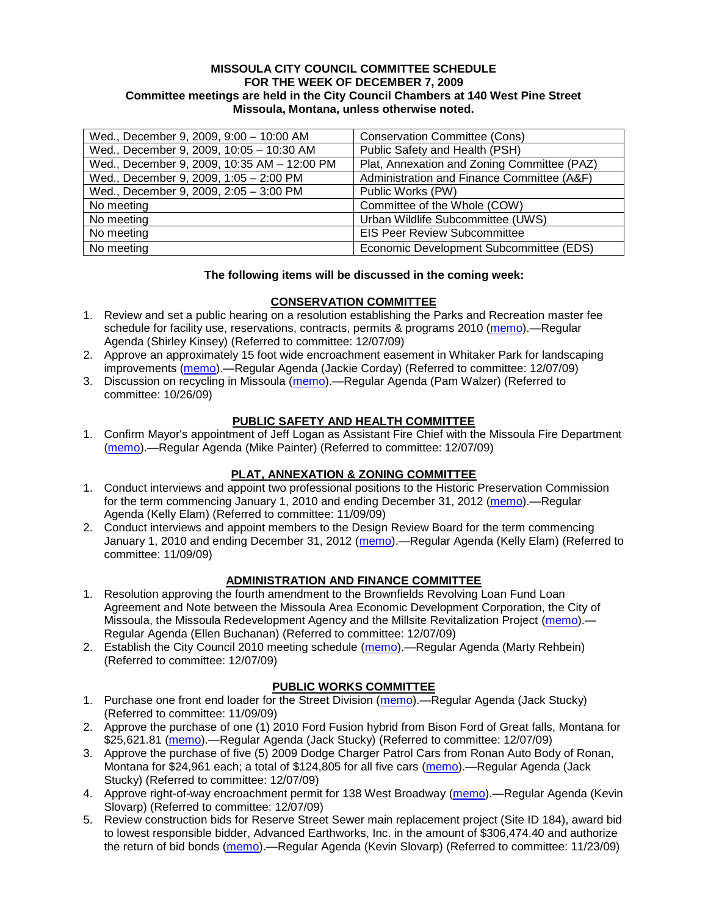#### **MISSOULA CITY COUNCIL COMMITTEE SCHEDULE FOR THE WEEK OF DECEMBER 7, 2009 Committee meetings are held in the City Council Chambers at 140 West Pine Street Missoula, Montana, unless otherwise noted.**

| Wed., December 9, 2009, 9:00 - 10:00 AM     | <b>Conservation Committee (Cons)</b>        |
|---------------------------------------------|---------------------------------------------|
| Wed., December 9, 2009, 10:05 - 10:30 AM    | Public Safety and Health (PSH)              |
| Wed., December 9, 2009, 10:35 AM - 12:00 PM | Plat, Annexation and Zoning Committee (PAZ) |
| Wed., December 9, 2009, 1:05 - 2:00 PM      | Administration and Finance Committee (A&F)  |
| Wed., December 9, 2009, 2:05 - 3:00 PM      | Public Works (PW)                           |
| No meeting                                  | Committee of the Whole (COW)                |
| No meeting                                  | Urban Wildlife Subcommittee (UWS)           |
| No meeting                                  | <b>EIS Peer Review Subcommittee</b>         |
| No meeting                                  | Economic Development Subcommittee (EDS)     |

### **The following items will be discussed in the coming week:**

### **CONSERVATION COMMITTEE**

- 1. Review and set a public hearing on a resolution establishing the Parks and Recreation master fee schedule for facility use, reservations, contracts, permits & programs 2010 [\(memo\)](http://www.ci.missoula.mt.us/DocumentView.aspx?DID=2767).—Regular Agenda (Shirley Kinsey) (Referred to committee: 12/07/09)
- 2. Approve an approximately 15 foot wide encroachment easement in Whitaker Park for landscaping improvements [\(memo\)](http://www.ci.missoula.mt.us/DocumentView.aspx?DID=2769).—Regular Agenda (Jackie Corday) (Referred to committee: 12/07/09)
- 3. Discussion on recycling in Missoula [\(memo\)](http://www.ci.missoula.mt.us/DocumentView.aspx?DID=2461).—Regular Agenda (Pam Walzer) (Referred to committee: 10/26/09)

#### **PUBLIC SAFETY AND HEALTH COMMITTEE**

1. Confirm Mayor's appointment of Jeff Logan as Assistant Fire Chief with the Missoula Fire Department [\(memo\)](http://www.ci.missoula.mt.us/DocumentView.aspx?DID=2770).—Regular Agenda (Mike Painter) (Referred to committee: 12/07/09)

#### **PLAT, ANNEXATION & ZONING COMMITTEE**

- 1. Conduct interviews and appoint two professional positions to the Historic Preservation Commission for the term commencing January 1, 2010 and ending December 31, 2012 [\(memo\)](http://www.ci.missoula.mt.us/DocumentView.aspx?DID=2535) — Regular Agenda (Kelly Elam) (Referred to committee: 11/09/09)
- 2. Conduct interviews and appoint members to the Design Review Board for the term commencing January 1, 2010 and ending December 31, 2012 [\(memo\)](http://www.ci.missoula.mt.us/DocumentView.aspx?DID=2525).—Regular Agenda (Kelly Elam) (Referred to committee: 11/09/09)

### **ADMINISTRATION AND FINANCE COMMITTEE**

- 1. Resolution approving the fourth amendment to the Brownfields Revolving Loan Fund Loan Agreement and Note between the Missoula Area Economic Development Corporation, the City of Missoula, the Missoula Redevelopment Agency and the Millsite Revitalization Project [\(memo\)](http://www.ci.missoula.mt.us/DocumentView.aspx?DID=2787).— Regular Agenda (Ellen Buchanan) (Referred to committee: 12/07/09)
- 2. Establish the City Council 2010 meeting schedule [\(memo\)](http://www.ci.missoula.mt.us/DocumentView.aspx?DID=2786).—Regular Agenda (Marty Rehbein) (Referred to committee: 12/07/09)

### **PUBLIC WORKS COMMITTEE**

- 1. Purchase one front end loader for the Street Division [\(memo\)](http://www.ci.missoula.mt.us/DocumentView.aspx?DID=2529).—Regular Agenda (Jack Stucky) (Referred to committee: 11/09/09)
- 2. Approve the purchase of one (1) 2010 Ford Fusion hybrid from Bison Ford of Great falls, Montana for \$25,621.81 [\(memo\)](http://www.ci.missoula.mt.us/DocumentView.aspx?DID=2779).—Regular Agenda (Jack Stucky) (Referred to committee: 12/07/09)
- 3. Approve the purchase of five (5) 2009 Dodge Charger Patrol Cars from Ronan Auto Body of Ronan, Montana for \$24,961 each; a total of \$124,805 for all five cars [\(memo\)](http://www.ci.missoula.mt.us/DocumentView.aspx?DID=2780).—Regular Agenda (Jack Stucky) (Referred to committee: 12/07/09)
- 4. Approve right-of-way encroachment permit for 138 West Broadway [\(memo\)](http://www.ci.missoula.mt.us/DocumentView.aspx?DID=2778).—Regular Agenda (Kevin Slovarp) (Referred to committee: 12/07/09)
- 5. Review construction bids for Reserve Street Sewer main replacement project (Site ID 184), award bid to lowest responsible bidder, Advanced Earthworks, Inc. in the amount of \$306,474.40 and authorize the return of bid bonds [\(memo\)](http://www.ci.missoula.mt.us/DocumentView.aspx?DID=2696).—Regular Agenda (Kevin Slovarp) (Referred to committee: 11/23/09)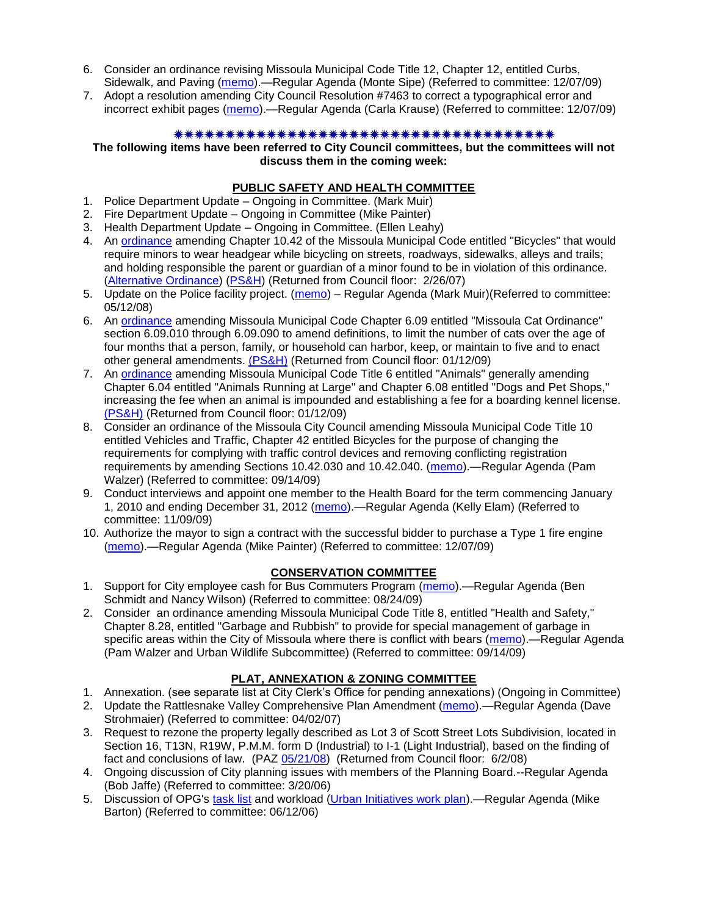- 6. Consider an ordinance revising Missoula Municipal Code Title 12, Chapter 12, entitled Curbs, Sidewalk, and Paving [\(memo\)](http://www.ci.missoula.mt.us/DocumentView.aspx?DID=2781).—Regular Agenda (Monte Sipe) (Referred to committee: 12/07/09)
- 7. Adopt a resolution amending City Council Resolution #7463 to correct a typographical error and incorrect exhibit pages [\(memo\)](http://www.ci.missoula.mt.us/DocumentView.aspx?DID=2792).—Regular Agenda (Carla Krause) (Referred to committee: 12/07/09)

#### 

**The following items have been referred to City Council committees, but the committees will not discuss them in the coming week:**

#### **PUBLIC SAFETY AND HEALTH COMMITTEE**

- 1. Police Department Update Ongoing in Committee. (Mark Muir)
- 2. Fire Department Update Ongoing in Committee (Mike Painter)
- 3. Health Department Update Ongoing in Committee. (Ellen Leahy)
- 4. An [ordinance](ftp://ftp.ci.missoula.mt.us/Packets/Council/2007/2007-02-05/07-01-31 Helmet and bikes psh.htm) amending Chapter 10.42 of the Missoula Municipal Code entitled "Bicycles" that would require minors to wear headgear while bicycling on streets, roadways, sidewalks, alleys and trails; and holding responsible the parent or guardian of a minor found to be in violation of this ordinance. [\(Alternative Ordinance\)](ftp://ftp.ci.missoula.mt.us/Packets/Council/2007/2007-02-26/07-02-19_Alternative_Helmet_and_bikes.htm) [\(PS&H\)](ftp://ftp.ci.missoula.mt.us/Packets/Council/2007/2007-02-05/070131psh.pdf) (Returned from Council floor: 2/26/07)
- 5. Update on the Police facility project. [\(memo\)](ftp://ftp.ci.missoula.mt.us/Packets/Council/2008/2008-05-12/Referrals/Buildingpresentationreferral.htm) Regular Agenda (Mark Muir)(Referred to committee: 05/12/08)
- 6. An [ordinance](ftp://ftp.ci.missoula.mt.us/Packets/Council/2008/2008-12-15/2008CatOrdinanceAmendment%5B1%5D.pdf) amending Missoula Municipal Code Chapter 6.09 entitled "Missoula Cat Ordinance" section 6.09.010 through 6.09.090 to amend definitions, to limit the number of cats over the age of four months that a person, family, or household can harbor, keep, or maintain to five and to enact other general amendments. [\(PS&H\)](ftp://ftp.ci.missoula.mt.us/Packets/Council/2008/2008-12-15/081210psh.pdf) (Returned from Council floor: 01/12/09)
- 7. An [ordinance](ftp://ftp.ci.missoula.mt.us/Packets/Council/2008/2008-12-15/DogOrdinance--PSHrevisions.pdf) amending Missoula Municipal Code Title 6 entitled "Animals" generally amending Chapter 6.04 entitled "Animals Running at Large" and Chapter 6.08 entitled "Dogs and Pet Shops," increasing the fee when an animal is impounded and establishing a fee for a boarding kennel license. [\(PS&H\)](ftp://ftp.ci.missoula.mt.us/Packets/Council/2008/2008-12-15/081210psh.pdf) (Returned from Council floor: 01/12/09)
- 8. Consider an ordinance of the Missoula City Council amending Missoula Municipal Code Title 10 entitled Vehicles and Traffic, Chapter 42 entitled Bicycles for the purpose of changing the requirements for complying with traffic control devices and removing conflicting registration requirements by amending Sections 10.42.030 and 10.42.040. [\(memo\)](http://www.ci.missoula.mt.us/DocumentView.aspx?DID=2223).—Regular Agenda (Pam Walzer) (Referred to committee: 09/14/09)
- 9. Conduct interviews and appoint one member to the Health Board for the term commencing January 1, 2010 and ending December 31, 2012 [\(memo\)](http://www.ci.missoula.mt.us/DocumentView.aspx?DID=2536).—Regular Agenda (Kelly Elam) (Referred to committee: 11/09/09)
- 10. Authorize the mayor to sign a contract with the successful bidder to purchase a Type 1 fire engine [\(memo\)](http://www.ci.missoula.mt.us/DocumentView.aspx?DID=2768).—Regular Agenda (Mike Painter) (Referred to committee: 12/07/09)

### **CONSERVATION COMMITTEE**

- 1. Support for City employee cash for Bus Commuters Program [\(memo\)](http://www.ci.missoula.mt.us/DocumentView.aspx?DID=2127).—Regular Agenda (Ben Schmidt and Nancy Wilson) (Referred to committee: 08/24/09)
- 2. Consider an ordinance amending Missoula Municipal Code Title 8, entitled "Health and Safety," Chapter 8.28, entitled "Garbage and Rubbish" to provide for special management of garbage in specific areas within the City of Missoula where there is conflict with bears [\(memo\)](http://www.ci.missoula.mt.us/DocumentView.aspx?DID=2228).—Regular Agenda (Pam Walzer and Urban Wildlife Subcommittee) (Referred to committee: 09/14/09)

### **PLAT, ANNEXATION & ZONING COMMITTEE**

- 1. Annexation. (see separate list at City Clerk's Office for pending annexations) (Ongoing in Committee)
- 2. Update the Rattlesnake Valley Comprehensive Plan Amendment [\(memo\)](ftp://ftp.ci.missoula.mt.us/Packets/Council/2007/2007-04-02/Referrals/Rattlesnake_Plan_Update_referral.pdf).—Regular Agenda (Dave Strohmaier) (Referred to committee: 04/02/07)
- 3. Request to rezone the property legally described as Lot 3 of Scott Street Lots Subdivision, located in Section 16, T13N, R19W, P.M.M. form D (Industrial) to I-1 (Light Industrial), based on the finding of fact and conclusions of law. (PAZ [05/21/08\)](ftp://ftp.ci.missoula.mt.us/Packets/Council/2008/2008-06-02/080521paz.pdf) (Returned from Council floor: 6/2/08)
- 4. Ongoing discussion of City planning issues with members of the Planning Board.--Regular Agenda (Bob Jaffe) (Referred to committee: 3/20/06)
- 5. Discussion of OPG's [task list](ftp://ftp.ci.missoula.mt.us/Packets/Council/2008/2008-07-07/UITaskList.pdf) and workload [\(Urban Initiatives work plan\)](ftp://ftp.ci.missoula.mt.us/Packets/Council/2006/2006-06-12/Referrals/Urban_Init.htm).—Regular Agenda (Mike Barton) (Referred to committee: 06/12/06)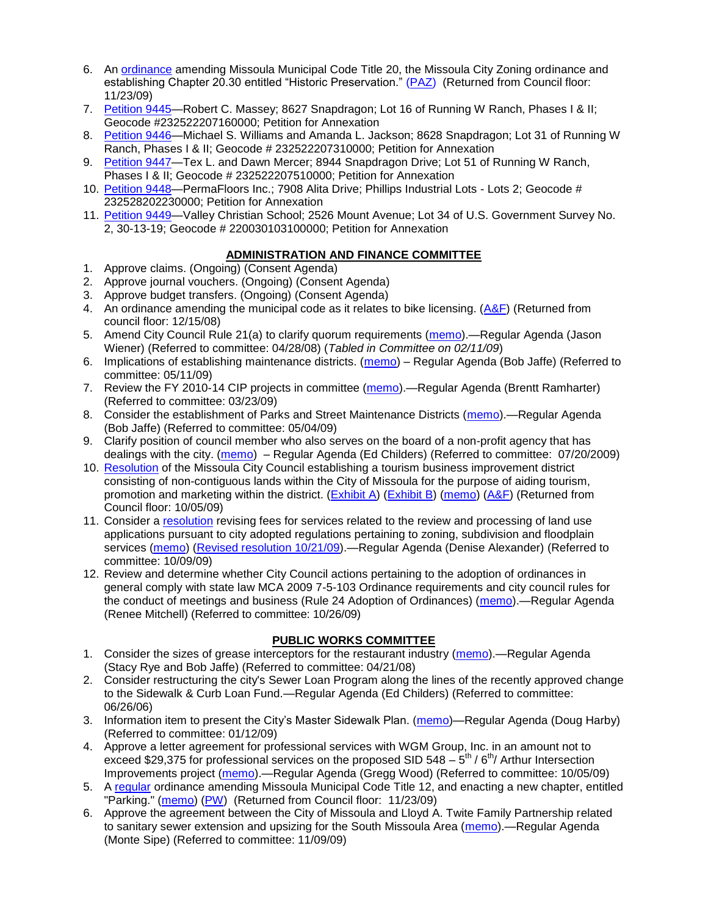- 6. An [ordinance](http://www.ci.missoula.mt.us/DocumentView.aspx?DID=2669) amending Missoula Municipal Code Title 20, the Missoula City Zoning ordinance and establishing Chapter 20.30 entitled "Historic Preservation." [\(PAZ\)](http://www.ci.missoula.mt.us/Archive.aspx?ADID=1512) (Returned from Council floor: 11/23/09)
- 7. [Petition 9445—](http://www.ci.missoula.mt.us/DocumentView.aspx?DID=2723)Robert C. Massey; 8627 Snapdragon; Lot 16 of Running W Ranch, Phases I & II; Geocode #232522207160000; Petition for Annexation
- 8. [Petition 9446—](http://www.ci.missoula.mt.us/DocumentView.aspx?DID=2724)Michael S. Williams and Amanda L. Jackson; 8628 Snapdragon; Lot 31 of Running W Ranch, Phases I & II; Geocode # 232522207310000; Petition for Annexation
- 9. [Petition 9447—](http://www.ci.missoula.mt.us/DocumentView.aspx?DID=2725)Tex L. and Dawn Mercer; 8944 Snapdragon Drive; Lot 51 of Running W Ranch, Phases I & II; Geocode # 232522207510000; Petition for Annexation
- 10. [Petition 9448—](http://www.ci.missoula.mt.us/DocumentView.aspx?DID=2726)PermaFloors Inc.; 7908 Alita Drive; Phillips Industrial Lots Lots 2; Geocode # 232528202230000; Petition for Annexation
- 11. [Petition 9449—](http://www.ci.missoula.mt.us/DocumentView.aspx?DID=2727)Valley Christian School; 2526 Mount Avenue; Lot 34 of U.S. Government Survey No. 2, 30-13-19; Geocode # 220030103100000; Petition for Annexation

## **ADMINISTRATION AND FINANCE COMMITTEE**

- 1. Approve claims. (Ongoing) (Consent Agenda)
- 2. Approve journal vouchers. (Ongoing) (Consent Agenda)
- 3. Approve budget transfers. (Ongoing) (Consent Agenda)
- 4. An ordinance amending the municipal code as it relates to bike licensing.  $(A&F)$  (Returned from council floor: 12/15/08)
- 5. Amend City Council Rule 21(a) to clarify quorum requirements [\(memo\)](ftp://ftp.ci.missoula.mt.us/Packets/Council/2008/2008-04-28/Referrals/CouncilRule21aReferral.pdf).—Regular Agenda (Jason Wiener) (Referred to committee: 04/28/08) (*Tabled in Committee on 02/11/09*)
- 6. Implications of establishing maintenance districts. [\(memo\)](ftp://ftp.ci.missoula.mt.us/Packets/Council/2009/2009-05-11/Referrals/MaintenanceDistricts.pdf) Regular Agenda (Bob Jaffe) (Referred to committee: 05/11/09)
- 7. Review the FY 2010-14 CIP projects in committee [\(memo\)](ftp://ftp.ci.missoula.mt.us/Packets/Council/2009/2009-03-23/Referrals/RefAFCIPBudgetReviewFY2010-2014CIP.pdf).—Regular Agenda (Brentt Ramharter) (Referred to committee: 03/23/09)
- 8. Consider the establishment of Parks and Street Maintenance Districts [\(memo\)](ftp://ftp.ci.missoula.mt.us/Packets/Council/2009/2009-05-04/Referrals/MaintenanceDistricts.pdf).—Regular Agenda (Bob Jaffe) (Referred to committee: 05/04/09)
- 9. Clarify position of council member who also serves on the board of a non-profit agency that has dealings with the city. [\(memo\)](http://www.ci.missoula.mt.us/DocumentView.aspx?DID=1840) – Regular Agenda (Ed Childers) (Referred to committee: 07/20/2009)
- 10. [Resolution](http://www.ci.missoula.mt.us/DocumentView.aspx?DID=2373) of the Missoula City Council establishing a tourism business improvement district consisting of non-contiguous lands within the City of Missoula for the purpose of aiding tourism, promotion and marketing within the district. [\(Exhibit A\)](http://www.ci.missoula.mt.us/DocumentView.aspx?DID=2090) [\(Exhibit B\)](http://www.ci.missoula.mt.us/DocumentView.aspx?DID=2374) [\(memo\)](http://www.ci.missoula.mt.us/DocumentView.aspx?DID=2097) [\(A&F\)](http://www.ci.missoula.mt.us/Archive.aspx?ADID=1172) (Returned from Council floor: 10/05/09)
- 11. Consider a [resolution](http://www.ci.missoula.mt.us/DocumentView.aspx?DID=2444) revising fees for services related to the review and processing of land use applications pursuant to city adopted regulations pertaining to zoning, subdivision and floodplain services [\(memo\)](http://www.ci.missoula.mt.us/DocumentView.aspx?DID=2387) [\(Revised resolution 10/21/09\)](http://www.ci.missoula.mt.us/DocumentView.aspx?DID=2399).—Regular Agenda (Denise Alexander) (Referred to committee: 10/09/09)
- 12. Review and determine whether City Council actions pertaining to the adoption of ordinances in general comply with state law MCA 2009 7-5-103 Ordinance requirements and city council rules for the conduct of meetings and business (Rule 24 Adoption of Ordinances) [\(memo\)](http://www.ci.missoula.mt.us/DocumentView.aspx?DID=2468).—Regular Agenda (Renee Mitchell) (Referred to committee: 10/26/09)

### **PUBLIC WORKS COMMITTEE**

- 1. Consider the sizes of grease interceptors for the restaurant industry [\(memo\)](ftp://ftp.ci.missoula.mt.us/Packets/Council/2008/2008-04-21/Referrals/Industrial_waste_restaurants.pdf).—Regular Agenda (Stacy Rye and Bob Jaffe) (Referred to committee: 04/21/08)
- 2. Consider restructuring the city's Sewer Loan Program along the lines of the recently approved change to the Sidewalk & Curb Loan Fund.—Regular Agenda (Ed Childers) (Referred to committee: 06/26/06)
- 3. Information item to present the City's Master Sidewalk Plan. [\(memo\)](ftp://ftp.ci.missoula.mt.us/packets/council/2009/2009-01-12/Referrals/MstrSdwlkPlnREF.pdf)—Regular Agenda (Doug Harby) (Referred to committee: 01/12/09)
- 4. Approve a letter agreement for professional services with WGM Group, Inc. in an amount not to exceed \$29,375 for professional services on the proposed SID 548  $-5^{\text{th}}$  / 6<sup>th</sup>/ Arthur Intersection Improvements project [\(memo\)](http://www.ci.missoula.mt.us/DocumentView.aspx?DID=2363).—Regular Agenda (Gregg Wood) (Referred to committee: 10/05/09)
- 5. A [regular](http://www.ci.missoula.mt.us/DocumentView.aspx?DID=2700) ordinance amending Missoula Municipal Code Title 12, and enacting a new chapter, entitled "Parking." [\(memo\)](http://www.ci.missoula.mt.us/DocumentView.aspx?DID=2366) [\(PW\)](http://www.ci.missoula.mt.us/Archive.aspx?ADID=1413) (Returned from Council floor: 11/23/09)
- 6. Approve the agreement between the City of Missoula and Lloyd A. Twite Family Partnership related to sanitary sewer extension and upsizing for the South Missoula Area [\(memo\)](http://www.ci.missoula.mt.us/DocumentView.aspx?DID=2531).—Regular Agenda (Monte Sipe) (Referred to committee: 11/09/09)